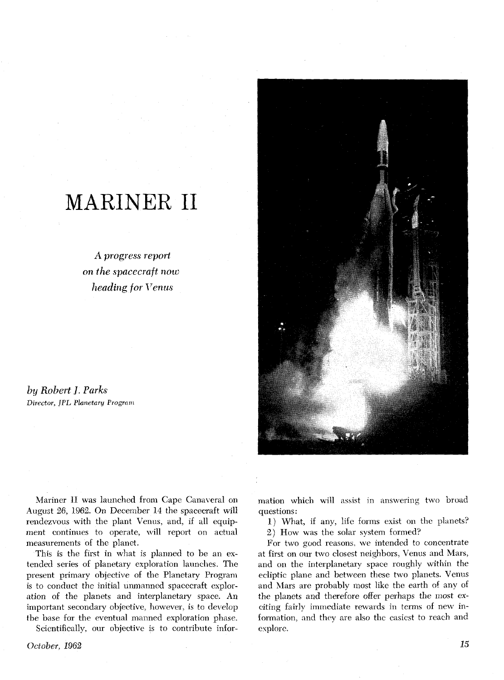# MARINER II

*A progress report on the spacecraft now*  **heading,** *for* Venus

*by Robert* 1. *Parks Director, JPL Planetary Program* 



Mariner 11 was launched from Cape Canaveral on August 26, 1962. On December 14 the spacecraft will rendezvous with the plant Venus, and, if all equipment continues to operate, will report on actual measurements of the planet.

This is the first in what is planned to be an extended series of planetary exploration launches. The present primary objective of the Planetary Program is to conduct the initial unmanned spacecraft exploration of the planets and interplanetary space. An important secondary objective, however, is to develop the base for the eventual manned exploration phase. Scientifically, our objective is to contribute infor-

*October,* 1962

mation which will assist in answering two broad questions :

1) What, if any, life forms exist on the planets?

2) How was the solar system formed?

For two good reasons, we intended to concentrate at first on our two closest neighbors, Venus and Mars, and on the interplanetary space roughly within the ecliptic plane and between these two planets. Venus and Mars are probably most like the earth of any of the planets and therefore offer perhaps the most exciting fairly immediate rewards in terms of new information, and they are also the easiest to reach and explore.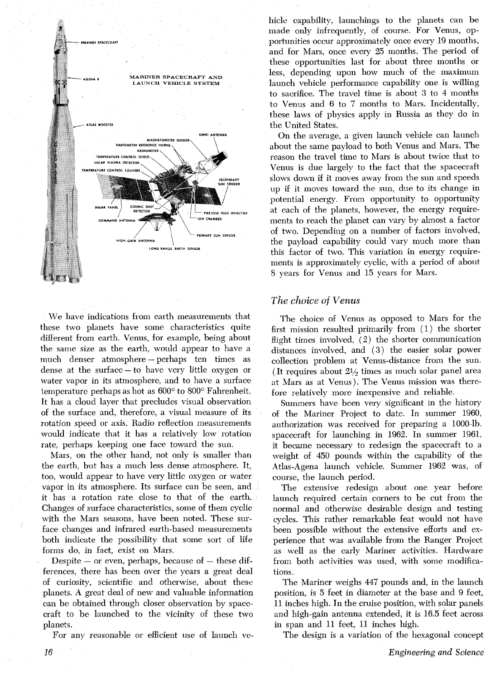

We have indications from earth measurements that these two planets have some characteristics quite different from earth. Venus, for example, being about the same size as the earth, would appear to have a much denser atmosphere - perhaps ten times as much denser atmosphere—perhaps ten times as<br>dense at the surface—to have very little oxygen or water vapor in its atmosphere, and to have a surface temperature perhaps as hot as  $600^{\circ}$  to  $800^{\circ}$  Fahrenheit. It has a cloud layer that precludes visual observation of the surface and, therefore, a visual measure of its rotation speed or axis. Radio reflection measurements would indicate that it has a relatively low rotation rate, perhaps keeping one face toward the sun.

Mars, on the other hand, not only is smaller than the earth, but has a much less dense atmosphere. It, too, would appear to have very little oxygen or water vapor in its atmosphere. Its surface can be seen, and it has a rotation rate close to that of the earth. Changes of surface characteristics, some of them cyclic with the Mars seasons, have been noted. These surface changes and infrared earth-based measurements both indicate the possibility that some sort of life forms do, in fact, exist on Mars.

Despite  $-$  or even, perhaps, because of  $-$  these differences, there has been over the years a great deal of curiosity, scientific and otherwise, about these planets. A great deal of new and valuable information can be obtained through closer observation by spacecraft to be launched to the vicinity of these two planets.

For any reasonable or efficient use of launch ve-

hicle capability, launchings to the planets can be made only infrequently, of course. For Venus, opportunities occur approximately once every 19 months, and for Mars, once every 25 months. The period of these opportunities last for about three months or less, depending upon how much of the maximum launch vehicle performance capability one is willing to sacrifice. The travel time is about 3 to 4 months to Venus and 6 to 7 months to Mars. Incidentally, these laws of physics apply in Russia as they do in the United States.

On the average, a given launch vehicle can launch about the same payload to both Venus and Mars. The reason the travel time to Mars is about twice that to Venus is due largely to the fact that the spacecraft slows down if it moves away from the sun and speeds up if it moves toward the sun, due to its change in potential energy. From opportunity to opportunity at each of the planets, however, the energy requirements to reach the planet can vary by almost a factor of two. Depending on a number of factors involved, the payload capability could vary much more than this factor of two. This variation in energy requirements is approximately cyclic, with a period of about 8 years for Venus and 15 years for Mars.

## *The choice of Venus*

The choice of Venus as opposed to Mars for the first mission resulted primarily from (1) the shorter flight times involved,  $(2)$  the shorter communication distances involved, and **(3)** the easier solar power collection problem at Venus-distance from the sun. (It requires about  $2\frac{1}{2}$  times as much solar panel area at Mars as at Venus). The Venus mission was therefore relatively more inexpensive and reliable.

Summers have been very significant in the history of the Mariner Project to date. In summer 1960, authorization was received for preparing a 1000-lb. spacecraft for launching in 1962. In summer 1961, it became necessary to redesign the spacecraft to a weight of 450 pounds within the capability of the Atlas-Agena launch vehicle. Summer 1962 was, of course, the launch period.

The extensive redesign about one year before launch required certain corners to be cut from the normal and otherwise desirable design and testing cycles. This rather remarkable feat would not have been possible without the extensive efforts and experience that was available from the Ranger Project as well as the early Mariner activities. Hardware from both activities was used, with some modifications.

The Mariner weighs 447 pounds and, in the launch position, is 5 feet in diameter at the base and 9 feet, 11 inches high. In the cruise position, with solar panels and high-gain antenna extended, it is 16.5 feet across in span and 11 feet, 11 inches high.

The design is a variation of the hexagonal concept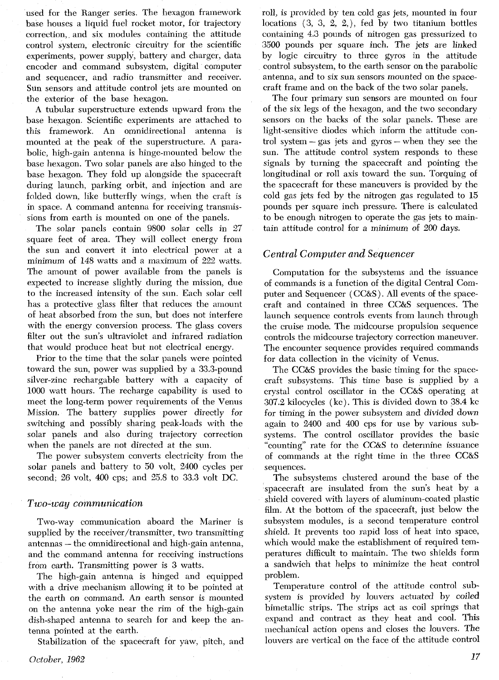used for the Ranger series. The hexagon framework base houses a liquid fuel rocket motor, for trajectory correction, and six modules containing the attitude control system, electronic circuitry for the scientific experiments, power supply, battery and charger, data encoder and command subsystem, digital computer and sequencer, and radio transmitter and receiver. Sun sensors and attitude control jets are mounted on the exterior of the base hexagon.

A tubular superstructure extends upward from the base hexagon. Scientific experiments are attached to this framework. An omnidirectional antenna is mounted at the peak of the superstructure. **A** parabolic, high-gain antenna is hinge-mounted below the base hexagon. Two solar panels are also hinged to the base hexagon. They fold up alongside the spacecraft during launch, parking orbit, and injection and are folded down, like butterfly wings, when the craft is in space. A command antenna for receiving transmissions from earth is mounted on one of the panels.

The solar panels contain 9800 solar cells in 27 square feet of area. They will collect energy from the sun and convert it into electrical power at a minimum of 148 watts and a maximum of 222 watts. The amount of power available from the panels is expected to increase slightly during the mission, due to the increased intensity of the sun. Each solar cell has a protective glass filter that reduces the amount of heat absorbed from the sun, but does not interfere with the energy conversion process. The glass covers filter out the sun's ultraviolet and infrared radiation that would produce heat but not electrical energy.

Prior to the time that the solar panels were pointed toward the sun, power was supplied by a 33.3-pound silver-zinc rechargable battery with a capacity of 1000 watt hours. The recharge capability is used to meet the long-term power requirements of the Venus Mission. The battery supplies power directly for switching and possibly sharing peak-loads with the solar panels and also during trajectory correction when the panels are not directed at the sun.

The power subsystem converts electricity from the solar panels and battery to 50 volt, 2400 cycles per second; 26 volt, 400 cps; and 25.8 to 33.3 volt DC.

#### *Two-way communication*

Two-way communication aboard the Mariner is supplied by the receiver/transmitter, two transmitting antennas - the omnidirectional and high-gain antenna, and the command antenna for receiving instructions from earth. Transmitting power is **3** watts.

The high-gain antenna is hinged and equipped with a drive mechanism allowing it to be pointed at the earth on command. An earth sensor is mounted on the antenna yoke near the rim of the high-gain dish-shaped antenna to search for and keep the antenna pointed at the earth.

Stabilization of the spacecraft for yaw, pitch, and

The four primary sun sensors are mounted on tour of the six legs of the hexagon, and the two secondary sensors on the backs of the solar panels. These are light-sensitive diodes which inform the attitude control system - gas jets and gyros - when they see the sun. The attitude control system responds to these signals by turning the spacecraft and pointing the longitudinal or roll axis toward the sun. Torquing of the spacecraft for these maneuvers is provided by the cold gas jets fed by the nitrogen gas regulated to 15 pounds per square inch pressure. There is calculated to be enough nitrogen to operate the gas jets to maintain attitude control for a minimum of 200 days.

## *Central Computer and Sequencer*

Computation for the subsystems and the issuance of commands is a function of the digital Central Computer and Sequencer (CC&S). All events of the spacecraft and contained in three CC&S sequences. The launch sequence controls events from launch through the cruise mode. The midcourse propulsion sequence controls the midcourse trajectory correction maneuver. The encounter sequence provides required commands for data collection in the vicinity of Venus.

The CC&S provides the basic timing for the spacecraft subsystems. This time base is supplied by a crystal control oscillator in the CC&S operating at 307.2 kilocycles (kc). This is divided down to 38.4 kc for timing in the power subsystem and divided down again to 2400 and 400 cps for use by various subsystems. The control oscillator provides the basic "counting" rate for the CC&S to determine issuance of commands at the right time in the three CC&S sequences.

The subsystems clustered around the base of the spacecraft are insulated from the sun's heat by a shield covered with layers of aluminum-coated plastic film. At the bottom of the spacecraft, just below the subsystem modules, is a second temperature control shield. It prevents too rapid loss of heat into space, which would make the establishment of required temperatures difficult to maintain. The two shields form a sandwich that helps to minimize the heat control problem.

Temperature control of the attitude control subsystem is provided by louvers actuated by coiled bimetallic strips. The strips act as coil springs that expand and contract as they heat and cool. This mechanical action opens and closes the louvers. The louvers are vertical on the face of the attitude control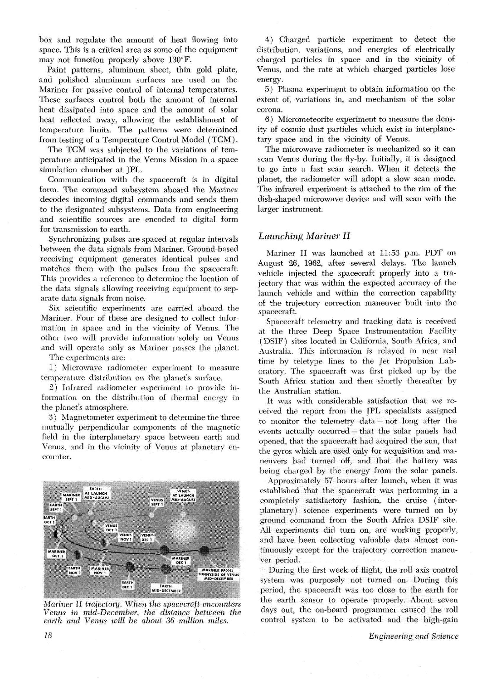box and regulate the amount of heat flowing into space. This is a critical area as some of the equipment may not function properly above 130°F.

Paint patterns, aluminum sheet, thin gold plate, and polished aluminum surfaces are used on the Mariner for passive control of internal temperatures. These surfaces control both the amount of internal heat dissipated into space and the amount of solar heat reflected away, allowing the establishment of temperature limits. The patterns were determined from testing of a Temperature Control Model (TCM).

The TCM was subiected to the variations of temperature anticipated in the Venus Mission in a space simulation chamber at JPL.

Communication with the spacecraft is in digital form. The command subsystem aboard the Mariner decodes incoming digital commands and sends them to the designated subsystems. Data from engineering and scientific sources are encoded to digital tom for transmission to earth.

Synchronizing pulses are spaced at regular intervals between the data signals from Mariner. Ground-based receiving equipment generates identical pulses and matches them with the pulses from the spacecraft This provides a reference to determine the location of the data signals allowing receiving equipment to separate data signals from noise.

Six scientific experiments are carried aboard the Mariner. Four of these are designed to collect information in space and in the vicinity of Venus. The other two will provide information solely on Venus and will operate only as Mariner passes the planet

The experiments are:

1) Microwave radiometer experiment to measure temperature distrilwtion on the planet's surface.

2) Infrared radiometer experiment to provide information on the distribution of thermal energy in the planet's atmosphere.

**3)** Magnetometer experiment to determine the three mutually perpendicular components of the magnetic field in the interplanetary space between earth and Venus, and in the vicinity of Venus at planetary encounter.



*Mariner II trajectory. When the spacecraft encounters Venus' in mid-December the distance between the*  earth and Venus will be about 36 million miles.

4) Charged particle experiment to detect the distribution, variations, and energies of electrically charged particles in space and in the vicinity of Venus, and the rate at which charged particles lose energy.

*5)* Plasma experiment to obtain information on the extent of, variations in, and mechanism of the solar corona.

6) Micrometeorite experiment to measure the density of cosmic dust particles which exist in interplanetary space and in the vicinity of Venus.

The microwave radiometer is mechanized so it can scan Venus during the fly-by. Initially, it is designed to go into a fast scan search. When it detects the planet, the radiometer will adopt a slow scan mode. The infrared experiment is attached to the rim of the dish-shaped microwave device and will scan with the larger instrument.

### *Launching Mariner I1*

Mariner I1 was launched at 11.53 p.m. PDT on August 26, 1962, after several delays. The launch vehicle injected the spacecraft properly into a trajectory that was within the expected accuracy of the launch vehicle and within the correction capability of the trajectory correction maneuver built into the spacecraft.

Spacecraft telemetry and tracking data is received at the three Deep Space Instrumentation Facility (DSIF) sites located in California, South Africa, and Australia. This information is relayed in near real time by teletype lines to the Jet Propulsion Laboratory. The spacecraft was first picked up by the South Africa station and then shortly thereafter by the Australian station.

It was with considerable satisfaction that we received the report from the JPL specialists assigned to monitor the telemetry data - not long after the events actually occurred - that the solar panels had opened, that the spacecraft had acquired the sun, that the gyros which are used only for acquisition and maneuvers had turned off, and that the battery was being charged by the energy from the solar panels.

Approximately *57* hours after launch, when it was established that the spacecraft was performing in a completely satisfactory fashion, the cruise (interplanetary) science experiments were turned on by ground command from the South Africa DSIF site All experiments did **turn** on, are working properly, and have been collecting valuable data almost continuously except for the trajectory correction maneuver period.

During the first week of flight, the roll axis control system was purposely not turned on. During this period, the spacecraft was too close to the earth for the earth sensor to operate properly. About seven days out, the on-board programmer caused the roll control system to be activated and the high-gain

*Engineering and Science*